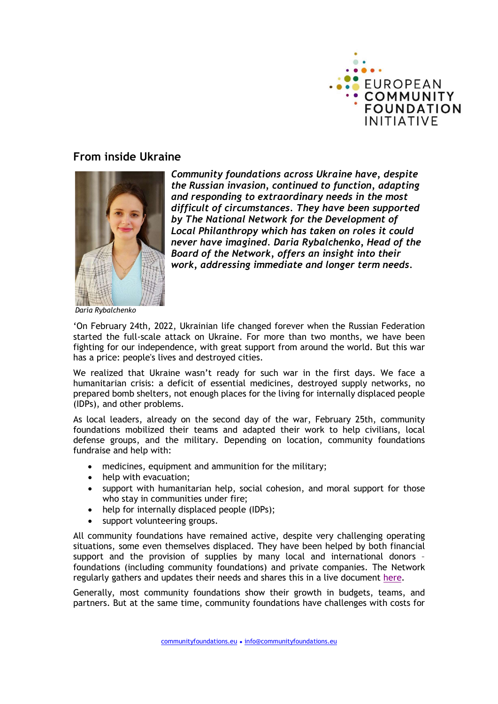

## From inside Ukraine



Community foundations across Ukraine have, despite the Russian invasion, continued to function, adapting and responding to extraordinary needs in the most difficult of circumstances. They have been supported by The National Network for the Development of Local Philanthropy which has taken on roles it could never have imagined. Daria Rybalchenko, Head of the Board of the Network, offers an insight into their work, addressing immediate and longer term needs.

Daria Rybalchenko

'On February 24th, 2022, Ukrainian life changed forever when the Russian Federation started the full-scale attack on Ukraine. For more than two months, we have been fighting for our independence, with great support from around the world. But this war has a price: people's lives and destroyed cities.

We realized that Ukraine wasn't ready for such war in the first days. We face a humanitarian crisis: a deficit of essential medicines, destroyed supply networks, no prepared bomb shelters, not enough places for the living for internally displaced people (IDPs), and other problems.

As local leaders, already on the second day of the war, February 25th, community foundations mobilized their teams and adapted their work to help civilians, local defense groups, and the military. Depending on location, community foundations fundraise and help with:

- medicines, equipment and ammunition for the military;
- help with evacuation;
- support with humanitarian help, social cohesion, and moral support for those who stay in communities under fire;
- help for internally displaced people (IDPs);
- support volunteering groups.

All community foundations have remained active, despite very challenging operating situations, some even themselves displaced. They have been helped by both financial support and the provision of supplies by many local and international donors – foundations (including community foundations) and private companies. The Network regularly gathers and updates their needs and shares this in a live document here.

Generally, most community foundations show their growth in budgets, teams, and partners. But at the same time, community foundations have challenges with costs for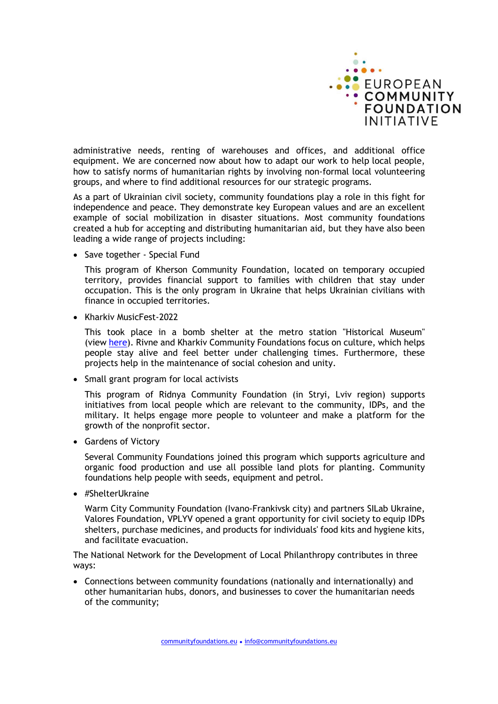

administrative needs, renting of warehouses and offices, and additional office equipment. We are concerned now about how to adapt our work to help local people, how to satisfy norms of humanitarian rights by involving non-formal local volunteering groups, and where to find additional resources for our strategic programs.

As a part of Ukrainian civil society, community foundations play a role in this fight for independence and peace. They demonstrate key European values and are an excellent example of social mobilization in disaster situations. Most community foundations created a hub for accepting and distributing humanitarian aid, but they have also been leading a wide range of projects including:

• Save together - Special Fund

This program of Kherson Community Foundation, located on temporary occupied territory, provides financial support to families with children that stay under occupation. This is the only program in Ukraine that helps Ukrainian civilians with finance in occupied territories.

Kharkiv MusicFest-2022

This took place in a bomb shelter at the metro station "Historical Museum" (view here). Rivne and Kharkiv Community Foundations focus on culture, which helps people stay alive and feel better under challenging times. Furthermore, these projects help in the maintenance of social cohesion and unity.

• Small grant program for local activists

This program of Ridnya Community Foundation (in Stryi, Lviv region) supports initiatives from local people which are relevant to the community, IDPs, and the military. It helps engage more people to volunteer and make a platform for the growth of the nonprofit sector.

Gardens of Victory

Several Community Foundations joined this program which supports agriculture and organic food production and use all possible land plots for planting. Community foundations help people with seeds, equipment and petrol.

 $\bullet$  #ShelterUkraine

Warm City Community Foundation (Ivano-Frankivsk city) and partners SILab Ukraine, Valores Foundation, VPLYV opened a grant opportunity for civil society to equip IDPs shelters, purchase medicines, and products for individuals' food kits and hygiene kits, and facilitate evacuation.

The National Network for the Development of Local Philanthropy contributes in three ways:

 Connections between community foundations (nationally and internationally) and other humanitarian hubs, donors, and businesses to cover the humanitarian needs of the community;